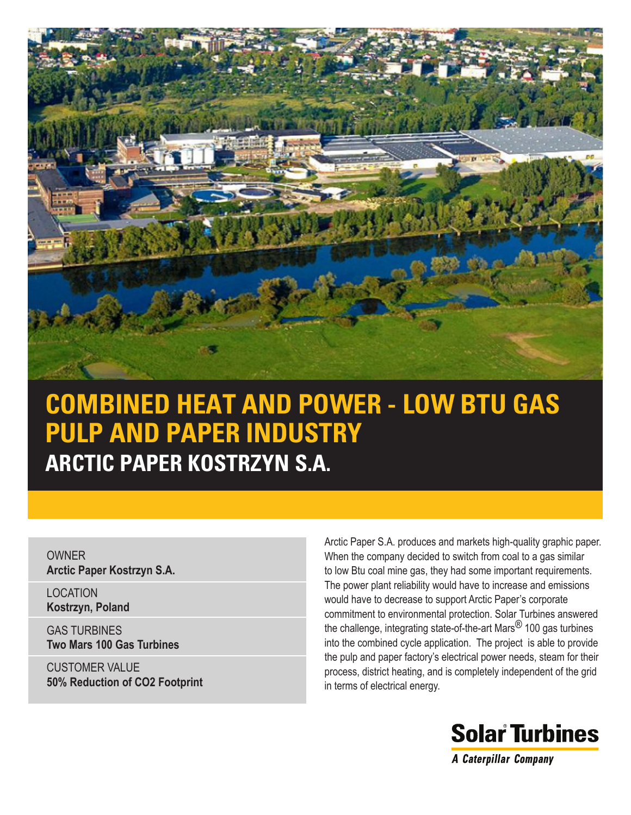

# **COMBINED HEAT AND POWER - LOW BTU GAS PULP AND PAPER INDUSTRY ARCTIC PAPER KOSTRZYN S.A.**

**OWNER Arctic Paper Kostrzyn S.A.**

LOCATION **Kostrzyn, Poland**

GAS TURBINES **Two Mars 100 Gas Turbines**

CUSTOMER VALUE **50% Reduction of CO2 Footprint**

Arctic Paper S.A. produces and markets high-quality graphic paper. When the company decided to switch from coal to a gas similar to low Btu coal mine gas, they had some important requirements. The power plant reliability would have to increase and emissions would have to decrease to support Arctic Paper's corporate commitment to environmental protection. Solar Turbines answered the challenge, integrating state-of-the-art Mars<sup>®</sup> 100 gas turbines into the combined cycle application. The project is able to provide the pulp and paper factory's electrical power needs, steam for their process, district heating, and is completely independent of the grid in terms of electrical energy.